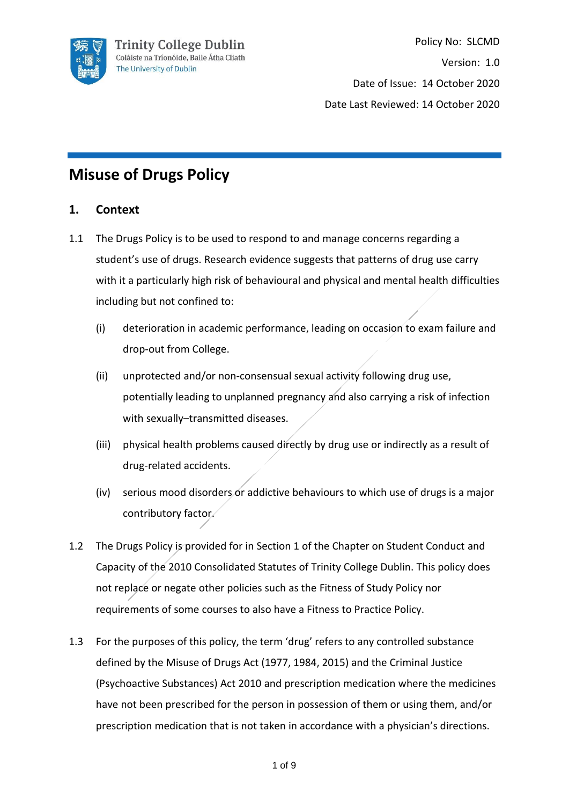

Policy No: SLCMD Version: 1.0 Date of Issue: 14 October 2020 Date Last Reviewed: 14 October 2020

# **Misuse of Drugs Policy**

# **1. Context**

- 1.1 The Drugs Policy is to be used to respond to and manage concerns regarding a student's use of drugs. Research evidence suggests that patterns of drug use carry with it a particularly high risk of behavioural and physical and mental health difficulties including but not confined to:
	- (i) deterioration in academic performance, leading on occasion to exam failure and drop-out from College.
	- (ii) unprotected and/or non-consensual sexual activity following drug use, potentially leading to unplanned pregnancy and also carrying a risk of infection with sexually–transmitted diseases.
	- (iii) physical health problems caused directly by drug use or indirectly as a result of drug-related accidents.
	- (iv) serious mood disorders or addictive behaviours to which use of drugs is a major contributory factor.
- 1.2 The Drugs Policy is provided for in Section 1 of the Chapter on Student Conduct and Capacity of the 2010 Consolidated Statutes of Trinity College Dublin. This policy does not replace or negate other policies such as the Fitness of Study Policy nor requirements of some courses to also have a Fitness to Practice Policy.
- 1.3 For the purposes of this policy, the term 'drug' refers to any controlled substance defined by the Misuse of Drugs Act (1977, 1984, 2015) and the Criminal Justice (Psychoactive Substances) Act 2010 and prescription medication where the medicines have not been prescribed for the person in possession of them or using them, and/or prescription medication that is not taken in accordance with a physician's directions.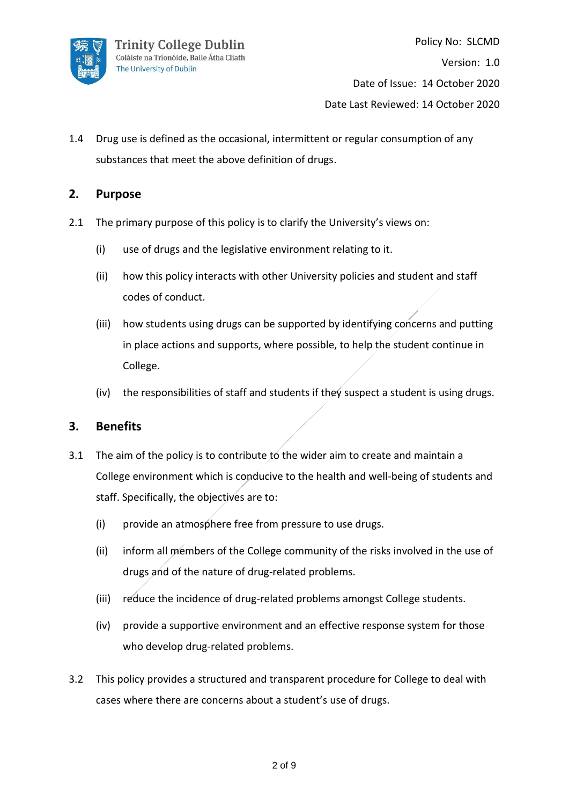

1.4 Drug use is defined as the occasional, intermittent or regular consumption of any substances that meet the above definition of drugs.

# **2. Purpose**

- 2.1 The primary purpose of this policy is to clarify the University's views on:
	- (i) use of drugs and the legislative environment relating to it.
	- (ii) how this policy interacts with other University policies and student and staff codes of conduct.
	- (iii) how students using drugs can be supported by identifying concerns and putting in place actions and supports, where possible, to help the student continue in College.
	- (iv) the responsibilities of staff and students if they suspect a student is using drugs.

#### **3. Benefits**

- 3.1 The aim of the policy is to contribute to the wider aim to create and maintain a College environment which is conducive to the health and well-being of students and staff. Specifically, the objectives are to:
	- (i) provide an atmosphere free from pressure to use drugs.
	- (ii) inform all members of the College community of the risks involved in the use of drugs and of the nature of drug-related problems.
	- (iii) reduce the incidence of drug-related problems amongst College students.
	- (iv) provide a supportive environment and an effective response system for those who develop drug-related problems.
- 3.2 This policy provides a structured and transparent procedure for College to deal with cases where there are concerns about a student's use of drugs.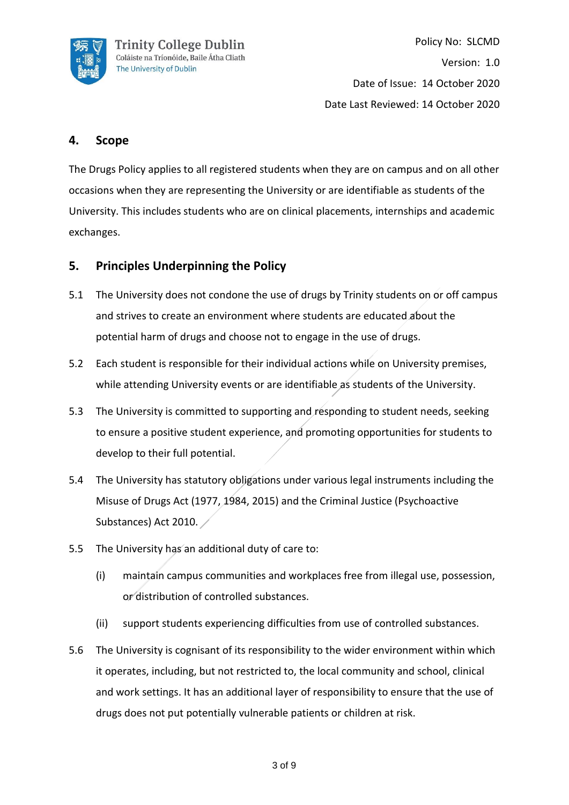

Policy No: SLCMD Version: 1.0 Date of Issue: 14 October 2020 Date Last Reviewed: 14 October 2020

## **4. Scope**

The Drugs Policy applies to all registered students when they are on campus and on all other occasions when they are representing the University or are identifiable as students of the University. This includes students who are on clinical placements, internships and academic exchanges.

#### **5. Principles Underpinning the Policy**

- 5.1 The University does not condone the use of drugs by Trinity students on or off campus and strives to create an environment where students are educated about the potential harm of drugs and choose not to engage in the use of drugs.
- 5.2 Each student is responsible for their individual actions while on University premises, while attending University events or are identifiable as students of the University.
- 5.3 The University is committed to supporting and responding to student needs, seeking to ensure a positive student experience, and promoting opportunities for students to develop to their full potential.
- 5.4 The University has statutory obligations under various legal instruments including the Misuse of Drugs Act (1977, 1984, 2015) and the Criminal Justice (Psychoactive Substances) Act 2010.
- 5.5 The University has an additional duty of care to:
	- (i) maintain campus communities and workplaces free from illegal use, possession, or distribution of controlled substances.
	- (ii) support students experiencing difficulties from use of controlled substances.
- 5.6 The University is cognisant of its responsibility to the wider environment within which it operates, including, but not restricted to, the local community and school, clinical and work settings. It has an additional layer of responsibility to ensure that the use of drugs does not put potentially vulnerable patients or children at risk.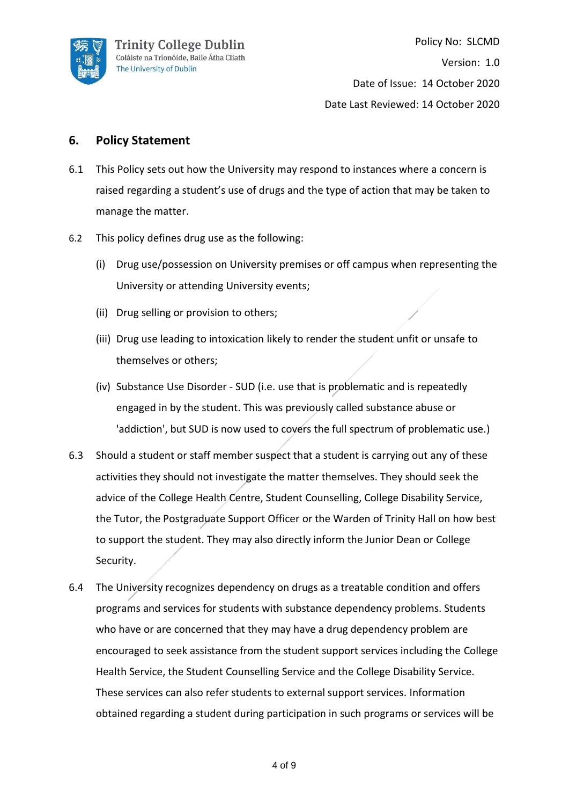

## **6. Policy Statement**

- 6.1 This Policy sets out how the University may respond to instances where a concern is raised regarding a student's use of drugs and the type of action that may be taken to manage the matter.
- 6.2 This policy defines drug use as the following:
	- (i) Drug use/possession on University premises or off campus when representing the University or attending University events;
	- (ii) Drug selling or provision to others;
	- (iii) Drug use leading to intoxication likely to render the student unfit or unsafe to themselves or others;
	- (iv) Substance Use Disorder SUD (i.e. use that is problematic and is repeatedly engaged in by the student. This was previously called substance abuse or 'addiction', but SUD is now used to covers the full spectrum of problematic use.)
- 6.3 Should a student or staff member suspect that a student is carrying out any of these activities they should not investigate the matter themselves. They should seek the advice of the College Health Centre, Student Counselling, College Disability Service, the Tutor, the Postgraduate Support Officer or the Warden of Trinity Hall on how best to support the student. They may also directly inform the Junior Dean or College Security.
- 6.4 The University recognizes dependency on drugs as a treatable condition and offers programs and services for students with substance dependency problems. Students who have or are concerned that they may have a drug dependency problem are encouraged to seek assistance from the student support services including the College Health Service, the Student Counselling Service and the College Disability Service. These services can also refer students to external support services. Information obtained regarding a student during participation in such programs or services will be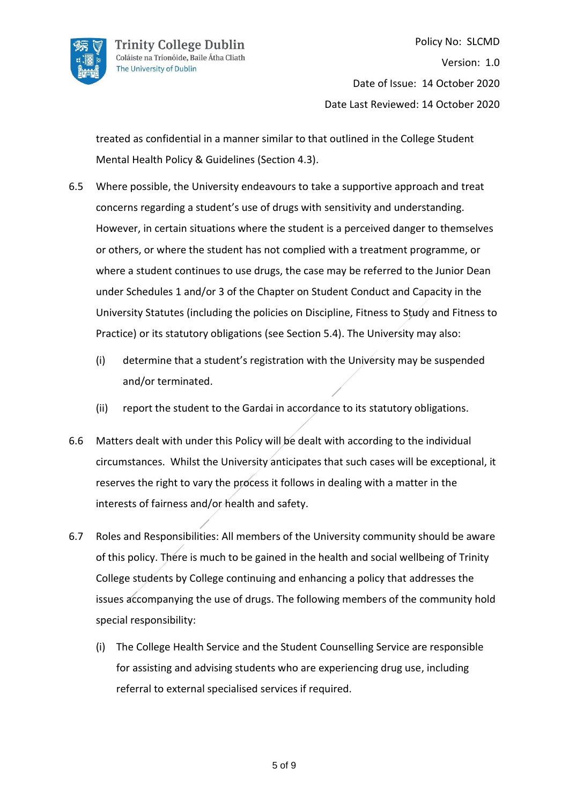

treated as confidential in a manner similar to that outlined in the College Student Mental Health Policy & Guidelines (Section 4.3).

- 6.5 Where possible, the University endeavours to take a supportive approach and treat concerns regarding a student's use of drugs with sensitivity and understanding. However, in certain situations where the student is a perceived danger to themselves or others, or where the student has not complied with a treatment programme, or where a student continues to use drugs, the case may be referred to the Junior Dean under Schedules 1 and/or 3 of the Chapter on Student Conduct and Capacity in the University Statutes (including the policies on Discipline, Fitness to Study and Fitness to Practice) or its statutory obligations (see Section 5.4). The University may also:
	- (i) determine that a student's registration with the University may be suspended and/or terminated.
	- (ii) report the student to the Gardai in accordance to its statutory obligations.
- 6.6 Matters dealt with under this Policy will be dealt with according to the individual circumstances. Whilst the University anticipates that such cases will be exceptional, it reserves the right to vary the process it follows in dealing with a matter in the interests of fairness and/or health and safety.
- 6.7 Roles and Responsibilities: All members of the University community should be aware of this policy. There is much to be gained in the health and social wellbeing of Trinity College students by College continuing and enhancing a policy that addresses the issues accompanying the use of drugs. The following members of the community hold special responsibility:
	- (i) The College Health Service and the Student Counselling Service are responsible for assisting and advising students who are experiencing drug use, including referral to external specialised services if required.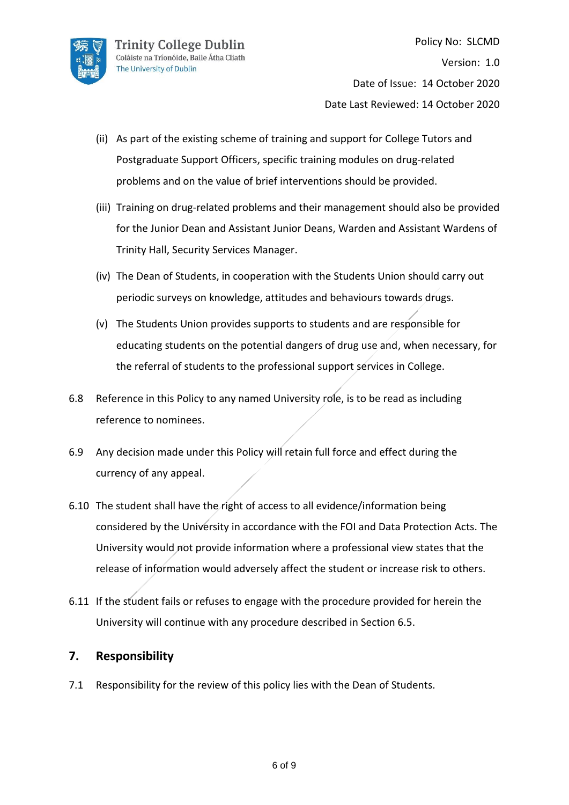

- (ii) As part of the existing scheme of training and support for College Tutors and Postgraduate Support Officers, specific training modules on drug-related problems and on the value of brief interventions should be provided.
- (iii) Training on drug-related problems and their management should also be provided for the Junior Dean and Assistant Junior Deans, Warden and Assistant Wardens of Trinity Hall, Security Services Manager.
- (iv) The Dean of Students, in cooperation with the Students Union should carry out periodic surveys on knowledge, attitudes and behaviours towards drugs.
- (v) The Students Union provides supports to students and are responsible for educating students on the potential dangers of drug use and, when necessary, for the referral of students to the professional support services in College.
- 6.8 Reference in this Policy to any named University role, is to be read as including reference to nominees.
- 6.9 Any decision made under this Policy will retain full force and effect during the currency of any appeal.
- 6.10 The student shall have the right of access to all evidence/information being considered by the University in accordance with the FOI and Data Protection Acts. The University would not provide information where a professional view states that the release of information would adversely affect the student or increase risk to others.
- 6.11 If the student fails or refuses to engage with the procedure provided for herein the University will continue with any procedure described in Section 6.5.

#### **7. Responsibility**

7.1 Responsibility for the review of this policy lies with the Dean of Students.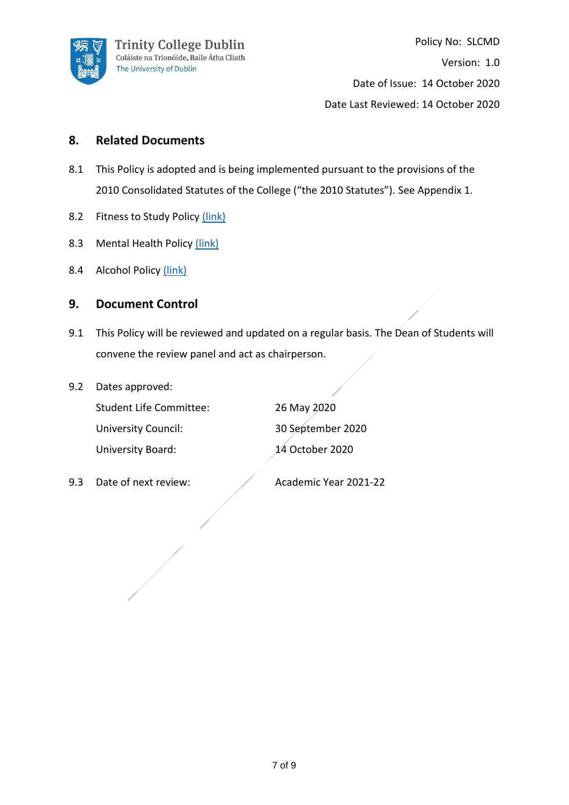

## **8. Related Documents**

- 8.1 This Policy is adopted and is being implemented pursuant to the provisions of the 2010 Consolidated Statutes of the College ("the 2010 Statutes"). See Appendix 1.
- 8.2 Fitness to Study Policy [\(link\)](https://www.tcd.ie/about/policies/assets/pdf/Fitness_to_Study_Policy_2018.pdf)
- 8.3 Mental Health Policy [\(link\)](https://www.tcd.ie/about/policies/mental_health.php)
- 8.4 Alcohol Policy [\(link\)](https://www.tcd.ie/about/policies/assets/pdf/CollegeAlcoholPolicy.pdf)

#### **9. Document Control**

- 9.1 This Policy will be reviewed and updated on a regular basis. The Dean of Students will convene the review panel and act as chairperson.
- 9.2 Dates approved:

| <b>Student Life Committee:</b> | 26 May 2020       |
|--------------------------------|-------------------|
| <b>University Council:</b>     | 30 September 2020 |
| University Board:              | 14 October 2020   |

| 26 May 2020       |
|-------------------|
| 30 September 2020 |
| 14 October 2020   |

9.3 Date of next review: Academic Year 2021-22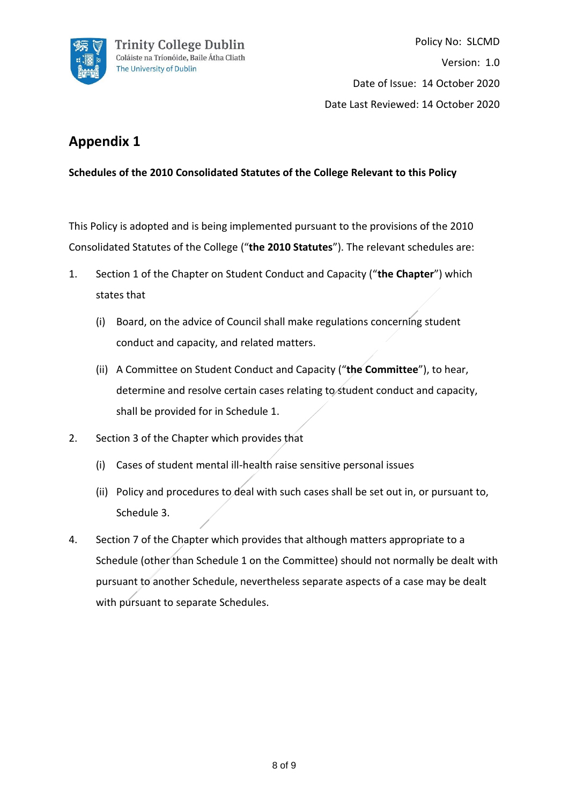

# **Appendix 1**

**Schedules of the 2010 Consolidated Statutes of the College Relevant to this Policy**

This Policy is adopted and is being implemented pursuant to the provisions of the 2010 Consolidated Statutes of the College ("**the 2010 Statutes**"). The relevant schedules are:

- 1. Section 1 of the Chapter on Student Conduct and Capacity ("**the Chapter**") which states that
	- (i) Board, on the advice of Council shall make regulations concerning student conduct and capacity, and related matters.
	- (ii) A Committee on Student Conduct and Capacity ("**the Committee**"), to hear, determine and resolve certain cases relating to student conduct and capacity, shall be provided for in Schedule 1.
- 2. Section 3 of the Chapter which provides that
	- (i) Cases of student mental ill-health raise sensitive personal issues
	- (ii) Policy and procedures to deal with such cases shall be set out in, or pursuant to, Schedule 3.
- 4. Section 7 of the Chapter which provides that although matters appropriate to a Schedule (other than Schedule 1 on the Committee) should not normally be dealt with pursuant to another Schedule, nevertheless separate aspects of a case may be dealt with pursuant to separate Schedules.